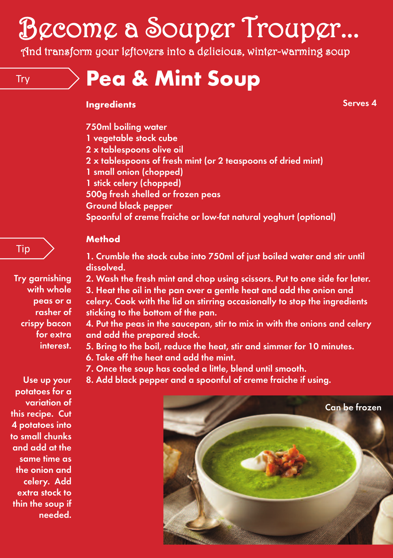# Become a Souper Trouper...

And transform your leftovers into a delicious, winter-warming soup

Try **Pea & Mint Soup**

#### **Ingredients**

**Serves 4**

- **750ml boiling water**
- **1 vegetable stock cube**
- **2 x tablespoons olive oil**
- **2 x tablespoons of fresh mint (or 2 teaspoons of dried mint)**
- **1 small onion (chopped)**
- **1 stick celery (chopped)**
- **500g fresh shelled or frozen peas**
- **Ground black pepper**

**Spoonful of creme fraiche or low-fat natural yoghurt (optional)**

#### **Method**

**Try garnishing with whole peas or a rasher of crispy bacon for extra interest.**

Tip

**1. Crumble the stock cube into 750ml of just boiled water and stir until dissolved.**

**2. Wash the fresh mint and chop using scissors. Put to one side for later. 3. Heat the oil in the pan over a gentle heat and add the onion and celery. Cook with the lid on stirring occasionally to stop the ingredients sticking to the bottom of the pan.**

**4. Put the peas in the saucepan, stir to mix in with the onions and celery and add the prepared stock.**

**5. Bring to the boil, reduce the heat, stir and simmer for 10 minutes. 6. Take off the heat and add the mint.**

**7. Once the soup has cooled a little, blend until smooth.**

**8. Add black pepper and a spoonful of creme fraiche if using.**



**Use up your potatoes for a variation of this recipe. Cut 4 potatoes into to small chunks and add at the same time as the onion and celery. Add extra stock to thin the soup if needed.**